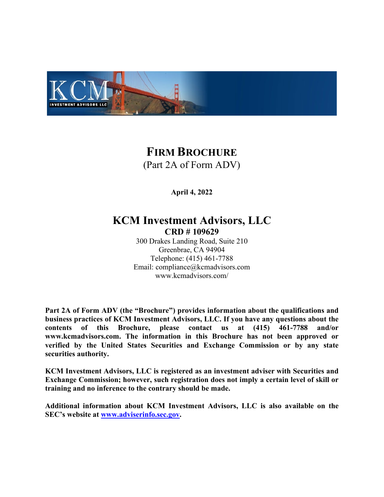

# **FIRM BROCHURE** (Part 2A of Form ADV)

**April 4, 2022**

# **KCM Investment Advisors, LLC CRD # 109629**

300 Drakes Landing Road, Suite 210 Greenbrae, CA 94904 Telephone: (415) 461-7788 Email: compliance@kcmadvisors.com www.kcmadvisors.com/

**Part 2A of Form ADV (the "Brochure") provides information about the qualifications and business practices of KCM Investment Advisors, LLC. If you have any questions about the contents of this Brochure, please contact us at (415) 461-7788 and/or www.kcmadvisors.com. The information in this Brochure has not been approved or verified by the United States Securities and Exchange Commission or by any state securities authority.** 

**KCM Investment Advisors, LLC is registered as an investment adviser with Securities and Exchange Commission; however, such registration does not imply a certain level of skill or training and no inference to the contrary should be made.**

**Additional information about KCM Investment Advisors, LLC is also available on the SEC's website at [www.adviserinfo.sec.gov.](http://www.adviserinfo.sec.gov/)**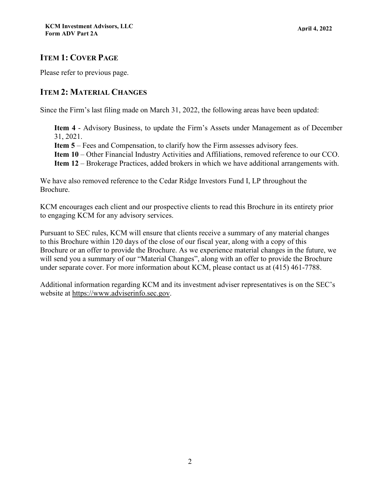# <span id="page-1-0"></span>**ITEM 1: COVER PAGE**

Please refer to previous page.

# <span id="page-1-1"></span>**ITEM 2: MATERIAL CHANGES**

Since the Firm's last filing made on March 31, 2022, the following areas have been updated:

**Item 4** - Advisory Business, to update the Firm's Assets under Management as of December 31, 2021.

**Item 5** – Fees and Compensation, to clarify how the Firm assesses advisory fees.

**Item 10** – Other Financial Industry Activities and Affiliations, removed reference to our CCO.

**Item 12** – Brokerage Practices, added brokers in which we have additional arrangements with.

We have also removed reference to the Cedar Ridge Investors Fund I, LP throughout the Brochure.

KCM encourages each client and our prospective clients to read this Brochure in its entirety prior to engaging KCM for any advisory services.

Pursuant to SEC rules, KCM will ensure that clients receive a summary of any material changes to this Brochure within 120 days of the close of our fiscal year, along with a copy of this Brochure or an offer to provide the Brochure. As we experience material changes in the future, we will send you a summary of our "Material Changes", along with an offer to provide the Brochure under separate cover. For more information about KCM, please contact us at (415) 461-7788.

Additional information regarding KCM and its investment adviser representatives is on the SEC's website at [https://www.adviserinfo.sec.gov.](http://www.adviserinfo.sec.gov/)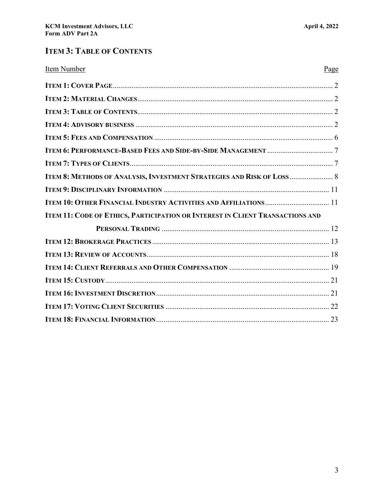# **ITEM 3: TABLE OF CONTENTS**

| Item Number                                                                   | Page |
|-------------------------------------------------------------------------------|------|
|                                                                               |      |
|                                                                               |      |
|                                                                               |      |
|                                                                               |      |
|                                                                               |      |
|                                                                               |      |
|                                                                               |      |
| ITEM 8: METHODS OF ANALYSIS, INVESTMENT STRATEGIES AND RISK OF LOSS  8        |      |
|                                                                               |      |
| ITEM 10: OTHER FINANCIAL INDUSTRY ACTIVITIES AND AFFILIATIONS  11             |      |
| ITEM 11: CODE OF ETHICS, PARTICIPATION OR INTEREST IN CLIENT TRANSACTIONS AND |      |
|                                                                               |      |
|                                                                               |      |
|                                                                               |      |
|                                                                               |      |
|                                                                               |      |
|                                                                               |      |
|                                                                               |      |
|                                                                               |      |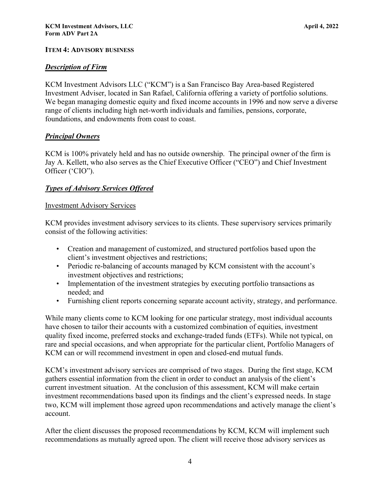## **ITEM 4: ADVISORY BUSINESS**

## *Description of Firm*

KCM Investment Advisors LLC ("KCM") is a San Francisco Bay Area-based Registered Investment Adviser, located in San Rafael, California offering a variety of portfolio solutions. We began managing domestic equity and fixed income accounts in 1996 and now serve a diverse range of clients including high net-worth individuals and families, pensions, corporate, foundations, and endowments from coast to coast.

## *Principal Owners*

KCM is 100% privately held and has no outside ownership. The principal owner of the firm is Jay A. Kellett, who also serves as the Chief Executive Officer ("CEO") and Chief Investment Officer ('CIO").

## *Types of Advisory Services Offered*

#### Investment Advisory Services

KCM provides investment advisory services to its clients. These supervisory services primarily consist of the following activities:

- Creation and management of customized, and structured portfolios based upon the client's investment objectives and restrictions;
- Periodic re-balancing of accounts managed by KCM consistent with the account's investment objectives and restrictions;
- Implementation of the investment strategies by executing portfolio transactions as needed; and
- Furnishing client reports concerning separate account activity, strategy, and performance.

While many clients come to KCM looking for one particular strategy, most individual accounts have chosen to tailor their accounts with a customized combination of equities, investment quality fixed income, preferred stocks and exchange-traded funds (ETFs). While not typical, on rare and special occasions, and when appropriate for the particular client, Portfolio Managers of KCM can or will recommend investment in open and closed-end mutual funds.

KCM's investment advisory services are comprised of two stages. During the first stage, KCM gathers essential information from the client in order to conduct an analysis of the client's current investment situation. At the conclusion of this assessment, KCM will make certain investment recommendations based upon its findings and the client's expressed needs. In stage two, KCM will implement those agreed upon recommendations and actively manage the client's account.

After the client discusses the proposed recommendations by KCM, KCM will implement such recommendations as mutually agreed upon. The client will receive those advisory services as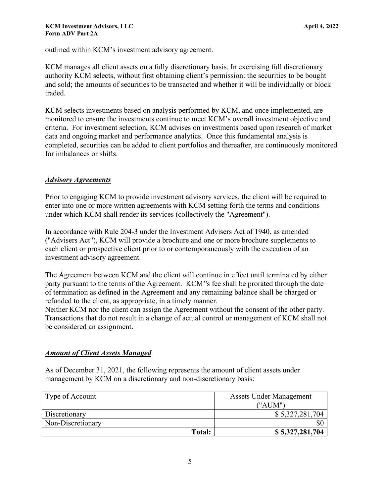outlined within KCM's investment advisory agreement.

KCM manages all client assets on a fully discretionary basis. In exercising full discretionary authority KCM selects, without first obtaining client's permission: the securities to be bought and sold; the amounts of securities to be transacted and whether it will be individually or block traded.

KCM selects investments based on analysis performed by KCM, and once implemented, are monitored to ensure the investments continue to meet KCM's overall investment objective and criteria. For investment selection, KCM advises on investments based upon research of market data and ongoing market and performance analytics. Once this fundamental analysis is completed, securities can be added to client portfolios and thereafter, are continuously monitored for imbalances or shifts.

#### *Advisory Agreements*

Prior to engaging KCM to provide investment advisory services, the client will be required to enter into one or more written agreements with KCM setting forth the terms and conditions under which KCM shall render its services (collectively the "Agreement").

In accordance with Rule 204-3 under the Investment Advisers Act of 1940, as amended ("Advisers Act"), KCM will provide a brochure and one or more brochure supplements to each client or prospective client prior to or contemporaneously with the execution of an investment advisory agreement.

The Agreement between KCM and the client will continue in effect until terminated by either party pursuant to the terms of the Agreement. KCM''s fee shall be prorated through the date of termination as defined in the Agreement and any remaining balance shall be charged or refunded to the client, as appropriate, in a timely manner.

Neither KCM nor the client can assign the Agreement without the consent of the other party. Transactions that do not result in a change of actual control or management of KCM shall not be considered an assignment.

## *Amount of Client Assets Managed*

As of December 31, 2021, the following represents the amount of client assets under management by KCM on a discretionary and non-discretionary basis:

| Type of Account   | <b>Assets Under Management</b> |  |
|-------------------|--------------------------------|--|
|                   | (''AIJM'')                     |  |
| Discretionary     | \$5,327,281,704                |  |
| Non-Discretionary | \$0                            |  |
| Total:            | \$5,327,281,704                |  |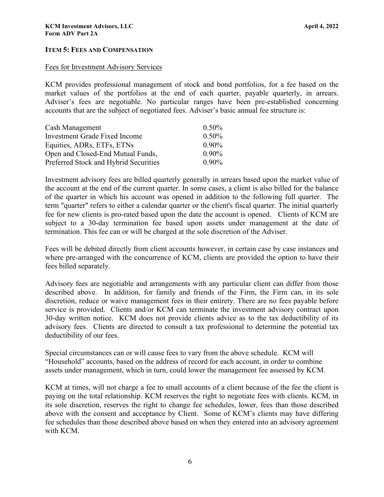## <span id="page-5-0"></span>**ITEM 5: FEES AND COMPENSATION**

#### Fees for Investment Advisory Services

KCM provides professional management of stock and bond portfolios, for a fee based on the market values of the portfolios at the end of each quarter, payable quarterly, in arrears. Adviser's fees are negotiable. No particular ranges have been pre-established concerning accounts that are the subject of negotiated fees. Adviser's basic annual fee structure is:

| Cash Management                       | $0.50\%$ |
|---------------------------------------|----------|
| Investment Grade Fixed Income         | 0.50%    |
| Equities, ADRs, ETFs, ETNs            | $0.90\%$ |
| Open and Closed-End Mutual Funds,     | $0.90\%$ |
| Preferred Stock and Hybrid Securities | $0.90\%$ |

Investment advisory fees are billed quarterly generally in arrears based upon the market value of the account at the end of the current quarter. In some cases, a client is also billed for the balance of the quarter in which his account was opened in addition to the following full quarter. The term "quarter" refers to either a calendar quarter or the client's fiscal quarter. The initial quarterly fee for new clients is pro-rated based upon the date the account is opened. Clients of KCM are subject to a 30-day termination fee based upon assets under management at the date of termination. This fee can or will be charged at the sole discretion of the Adviser.

Fees will be debited directly from client accounts however, in certain case by case instances and where pre-arranged with the concurrence of KCM, clients are provided the option to have their fees billed separately.

Advisory fees are negotiable and arrangements with any particular client can differ from those described above. In addition, for family and friends of the Firm, the Firm can, in its sole discretion, reduce or waive management fees in their entirety. There are no fees payable before service is provided. Clients and/or KCM can terminate the investment advisory contract upon 30-day written notice. KCM does not provide clients advice as to the tax deductibility of its advisory fees. Clients are directed to consult a tax professional to determine the potential tax deductibility of our fees.

Special circumstances can or will cause fees to vary from the above schedule. KCM will "Household" accounts, based on the address of record for each account, in order to combine assets under management, which in turn, could lower the management fee assessed by KCM.

KCM at times, will not charge a fee to small accounts of a client because of the fee the client is paying on the total relationship. KCM reserves the right to negotiate fees with clients. KCM, in its sole discretion, reserves the right to change fee schedules, lower, fees than those described above with the consent and acceptance by Client. Some of KCM's clients may have differing fee schedules than those described above based on when they entered into an advisory agreement with KCM.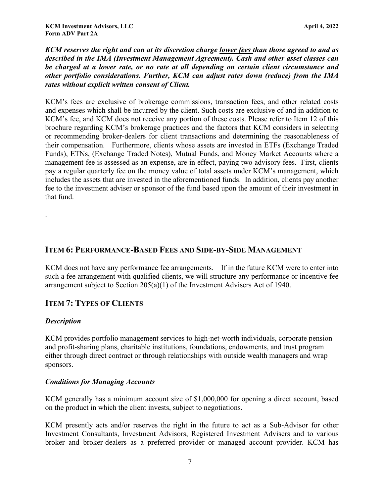*KCM reserves the right and can at its discretion charge lower fees than those agreed to and as described in the IMA (Investment Management Agreement). Cash and other asset classes can be charged at a lower rate, or no rate at all depending on certain client circumstance and other portfolio considerations. Further, KCM can adjust rates down (reduce) from the IMA rates without explicit written consent of Client.* 

KCM's fees are exclusive of brokerage commissions, transaction fees, and other related costs and expenses which shall be incurred by the client. Such costs are exclusive of and in addition to KCM's fee, and KCM does not receive any portion of these costs. Please refer to Item 12 of this brochure regarding KCM's brokerage practices and the factors that KCM considers in selecting or recommending broker-dealers for client transactions and determining the reasonableness of their compensation. Furthermore, clients whose assets are invested in ETFs (Exchange Traded Funds), ETNs, (Exchange Traded Notes), Mutual Funds, and Money Market Accounts where a management fee is assessed as an expense, are in effect, paying two advisory fees. First, clients pay a regular quarterly fee on the money value of total assets under KCM's management, which includes the assets that are invested in the aforementioned funds. In addition, clients pay another fee to the investment adviser or sponsor of the fund based upon the amount of their investment in that fund.

## <span id="page-6-1"></span><span id="page-6-0"></span>**ITEM 6: PERFORMANCE-BASED FEES AND SIDE-BY-SIDE MANAGEMENT**

KCM does not have any performance fee arrangements. If in the future KCM were to enter into such a fee arrangement with qualified clients, we will structure any performance or incentive fee arrangement subject to Section 205(a)(1) of the Investment Advisers Act of 1940.

# **ITEM 7: TYPES OF CLIENTS**

## *Description*

.

KCM provides portfolio management services to high-net-worth individuals, corporate pension and profit-sharing plans, charitable institutions, foundations, endowments, and trust program either through direct contract or through relationships with outside wealth managers and wrap sponsors.

## *Conditions for Managing Accounts*

KCM generally has a minimum account size of \$1,000,000 for opening a direct account, based on the product in which the client invests, subject to negotiations.

KCM presently acts and/or reserves the right in the future to act as a Sub-Advisor for other Investment Consultants, Investment Advisors, Registered Investment Advisers and to various broker and broker-dealers as a preferred provider or managed account provider. KCM has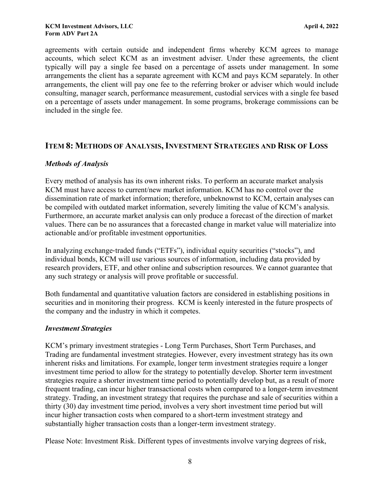agreements with certain outside and independent firms whereby KCM agrees to manage accounts, which select KCM as an investment adviser. Under these agreements, the client typically will pay a single fee based on a percentage of assets under management. In some arrangements the client has a separate agreement with KCM and pays KCM separately. In other arrangements, the client will pay one fee to the referring broker or adviser which would include consulting, manager search, performance measurement, custodial services with a single fee based on a percentage of assets under management. In some programs, brokerage commissions can be included in the single fee.

## <span id="page-7-0"></span>**ITEM 8: METHODS OF ANALYSIS,INVESTMENT STRATEGIES AND RISK OF LOSS**

## *Methods of Analysis*

Every method of analysis has its own inherent risks. To perform an accurate market analysis KCM must have access to current/new market information. KCM has no control over the dissemination rate of market information; therefore, unbeknownst to KCM, certain analyses can be compiled with outdated market information, severely limiting the value of KCM's analysis. Furthermore, an accurate market analysis can only produce a forecast of the direction of market values. There can be no assurances that a forecasted change in market value will materialize into actionable and/or profitable investment opportunities.

In analyzing exchange-traded funds ("ETFs"), individual equity securities ("stocks"), and individual bonds, KCM will use various sources of information, including data provided by research providers, ETF, and other online and subscription resources. We cannot guarantee that any such strategy or analysis will prove profitable or successful.

Both fundamental and quantitative valuation factors are considered in establishing positions in securities and in monitoring their progress. KCM is keenly interested in the future prospects of the company and the industry in which it competes.

## *Investment Strategies*

KCM's primary investment strategies - Long Term Purchases, Short Term Purchases, and Trading are fundamental investment strategies. However, every investment strategy has its own inherent risks and limitations. For example, longer term investment strategies require a longer investment time period to allow for the strategy to potentially develop. Shorter term investment strategies require a shorter investment time period to potentially develop but, as a result of more frequent trading, can incur higher transactional costs when compared to a longer-term investment strategy. Trading, an investment strategy that requires the purchase and sale of securities within a thirty (30) day investment time period, involves a very short investment time period but will incur higher transaction costs when compared to a short-term investment strategy and substantially higher transaction costs than a longer-term investment strategy.

Please Note: Investment Risk. Different types of investments involve varying degrees of risk,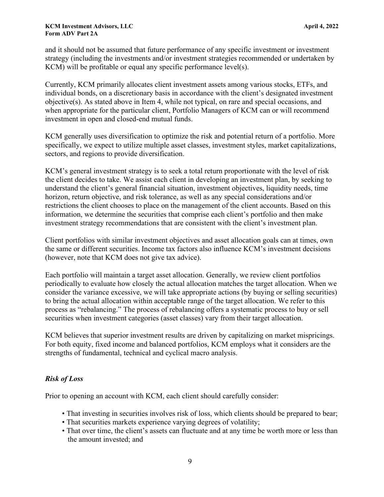and it should not be assumed that future performance of any specific investment or investment strategy (including the investments and/or investment strategies recommended or undertaken by KCM) will be profitable or equal any specific performance level(s).

Currently, KCM primarily allocates client investment assets among various stocks, ETFs, and individual bonds, on a discretionary basis in accordance with the client's designated investment objective(s). As stated above in Item 4, while not typical, on rare and special occasions, and when appropriate for the particular client, Portfolio Managers of KCM can or will recommend investment in open and closed-end mutual funds.

KCM generally uses diversification to optimize the risk and potential return of a portfolio. More specifically, we expect to utilize multiple asset classes, investment styles, market capitalizations, sectors, and regions to provide diversification.

KCM's general investment strategy is to seek a total return proportionate with the level of risk the client decides to take. We assist each client in developing an investment plan, by seeking to understand the client's general financial situation, investment objectives, liquidity needs, time horizon, return objective, and risk tolerance, as well as any special considerations and/or restrictions the client chooses to place on the management of the client accounts. Based on this information, we determine the securities that comprise each client's portfolio and then make investment strategy recommendations that are consistent with the client's investment plan.

Client portfolios with similar investment objectives and asset allocation goals can at times, own the same or different securities. Income tax factors also influence KCM's investment decisions (however, note that KCM does not give tax advice).

Each portfolio will maintain a target asset allocation. Generally, we review client portfolios periodically to evaluate how closely the actual allocation matches the target allocation. When we consider the variance excessive, we will take appropriate actions (by buying or selling securities) to bring the actual allocation within acceptable range of the target allocation. We refer to this process as "rebalancing." The process of rebalancing offers a systematic process to buy or sell securities when investment categories (asset classes) vary from their target allocation.

KCM believes that superior investment results are driven by capitalizing on market mispricings. For both equity, fixed income and balanced portfolios, KCM employs what it considers are the strengths of fundamental, technical and cyclical macro analysis.

## *Risk of Loss*

Prior to opening an account with KCM, each client should carefully consider:

- That investing in securities involves risk of loss, which clients should be prepared to bear;
- That securities markets experience varying degrees of volatility;
- That over time, the client's assets can fluctuate and at any time be worth more or less than the amount invested; and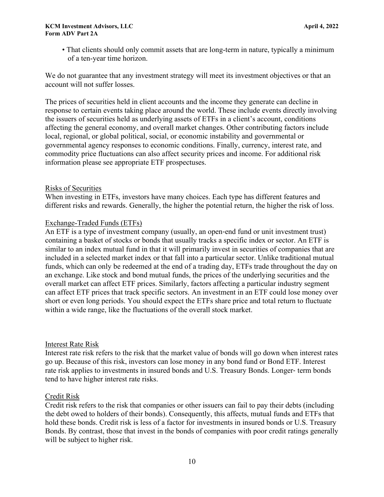• That clients should only commit assets that are long-term in nature, typically a minimum of a ten-year time horizon.

We do not guarantee that any investment strategy will meet its investment objectives or that an account will not suffer losses.

The prices of securities held in client accounts and the income they generate can decline in response to certain events taking place around the world. These include events directly involving the issuers of securities held as underlying assets of ETFs in a client's account, conditions affecting the general economy, and overall market changes. Other contributing factors include local, regional, or global political, social, or economic instability and governmental or governmental agency responses to economic conditions. Finally, currency, interest rate, and commodity price fluctuations can also affect security prices and income. For additional risk information please see appropriate ETF prospectuses.

## Risks of Securities

When investing in ETFs, investors have many choices. Each type has different features and different risks and rewards. Generally, the higher the potential return, the higher the risk of loss.

#### Exchange-Traded Funds (ETFs)

An ETF is a type of investment company (usually, an open‐end fund or unit investment trust) containing a basket of stocks or bonds that usually tracks a specific index or sector. An ETF is similar to an index mutual fund in that it will primarily invest in securities of companies that are included in a selected market index or that fall into a particular sector. Unlike traditional mutual funds, which can only be redeemed at the end of a trading day, ETFs trade throughout the day on an exchange. Like stock and bond mutual funds, the prices of the underlying securities and the overall market can affect ETF prices. Similarly, factors affecting a particular industry segment can affect ETF prices that track specific sectors. An investment in an ETF could lose money over short or even long periods. You should expect the ETFs share price and total return to fluctuate within a wide range, like the fluctuations of the overall stock market.

#### Interest Rate Risk

Interest rate risk refers to the risk that the market value of bonds will go down when interest rates go up. Because of this risk, investors can lose money in any bond fund or Bond ETF. Interest rate risk applies to investments in insured bonds and U.S. Treasury Bonds. Longer-term bonds tend to have higher interest rate risks.

## Credit Risk

Credit risk refers to the risk that companies or other issuers can fail to pay their debts (including the debt owed to holders of their bonds). Consequently, this affects, mutual funds and ETFs that hold these bonds. Credit risk is less of a factor for investments in insured bonds or U.S. Treasury Bonds. By contrast, those that invest in the bonds of companies with poor credit ratings generally will be subject to higher risk.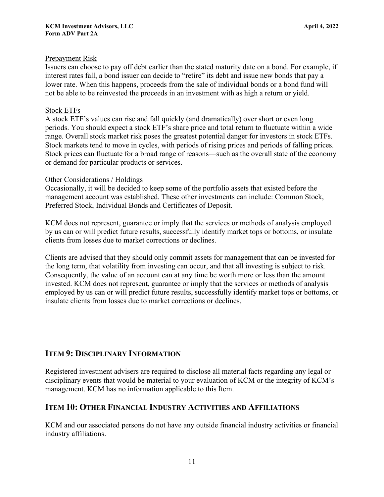## Prepayment Risk

Issuers can choose to pay off debt earlier than the stated maturity date on a bond. For example, if interest rates fall, a bond issuer can decide to "retire" its debt and issue new bonds that pay a lower rate. When this happens, proceeds from the sale of individual bonds or a bond fund will not be able to be reinvested the proceeds in an investment with as high a return or yield.

#### Stock ETFs

A stock ETF's values can rise and fall quickly (and dramatically) over short or even long periods. You should expect a stock ETF's share price and total return to fluctuate within a wide range. Overall stock market risk poses the greatest potential danger for investors in stock ETFs. Stock markets tend to move in cycles, with periods of rising prices and periods of falling prices. Stock prices can fluctuate for a broad range of reasons—such as the overall state of the economy or demand for particular products or services.

#### Other Considerations / Holdings

Occasionally, it will be decided to keep some of the portfolio assets that existed before the management account was established. These other investments can include: Common Stock, Preferred Stock, Individual Bonds and Certificates of Deposit.

KCM does not represent, guarantee or imply that the services or methods of analysis employed by us can or will predict future results, successfully identify market tops or bottoms, or insulate clients from losses due to market corrections or declines.

Clients are advised that they should only commit assets for management that can be invested for the long term, that volatility from investing can occur, and that all investing is subject to risk. Consequently, the value of an account can at any time be worth more or less than the amount invested. KCM does not represent, guarantee or imply that the services or methods of analysis employed by us can or will predict future results, successfully identify market tops or bottoms, or insulate clients from losses due to market corrections or declines.

# <span id="page-10-0"></span>**ITEM 9: DISCIPLINARY INFORMATION**

Registered investment advisers are required to disclose all material facts regarding any legal or disciplinary events that would be material to your evaluation of KCM or the integrity of KCM's management. KCM has no information applicable to this Item.

## <span id="page-10-1"></span>**ITEM 10: OTHER FINANCIAL INDUSTRY ACTIVITIES AND AFFILIATIONS**

KCM and our associated persons do not have any outside financial industry activities or financial industry affiliations.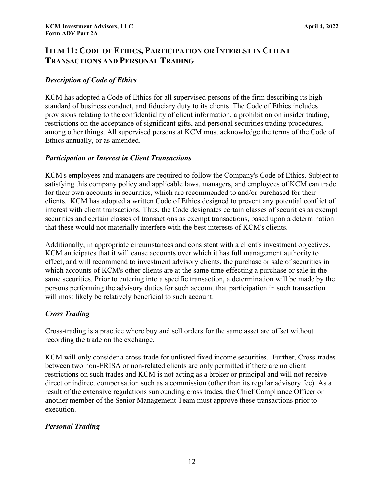# <span id="page-11-0"></span>**ITEM 11: CODE OF ETHICS, PARTICIPATION OR INTEREST IN CLIENT TRANSACTIONS AND PERSONAL TRADING**

## *Description of Code of Ethics*

KCM has adopted a Code of Ethics for all supervised persons of the firm describing its high standard of business conduct, and fiduciary duty to its clients. The Code of Ethics includes provisions relating to the confidentiality of client information, a prohibition on insider trading, restrictions on the acceptance of significant gifts, and personal securities trading procedures, among other things. All supervised persons at KCM must acknowledge the terms of the Code of Ethics annually, or as amended.

## *Participation or Interest in Client Transactions*

KCM's employees and managers are required to follow the Company's Code of Ethics. Subject to satisfying this company policy and applicable laws, managers, and employees of KCM can trade for their own accounts in securities, which are recommended to and/or purchased for their clients. KCM has adopted a written Code of Ethics designed to prevent any potential conflict of interest with client transactions. Thus, the Code designates certain classes of securities as exempt securities and certain classes of transactions as exempt transactions, based upon a determination that these would not materially interfere with the best interests of KCM's clients.

Additionally, in appropriate circumstances and consistent with a client's investment objectives, KCM anticipates that it will cause accounts over which it has full management authority to effect, and will recommend to investment advisory clients, the purchase or sale of securities in which accounts of KCM's other clients are at the same time effecting a purchase or sale in the same securities. Prior to entering into a specific transaction, a determination will be made by the persons performing the advisory duties for such account that participation in such transaction will most likely be relatively beneficial to such account.

## *Cross Trading*

Cross-trading is a practice where buy and sell orders for the same asset are offset without recording the trade on the exchange.

KCM will only consider a cross-trade for unlisted fixed income securities. Further, Cross-trades between two non-ERISA or non-related clients are only permitted if there are no client restrictions on such trades and KCM is not acting as a broker or principal and will not receive direct or indirect compensation such as a commission (other than its regular advisory fee). As a result of the extensive regulations surrounding cross trades, the Chief Compliance Officer or another member of the Senior Management Team must approve these transactions prior to execution.

## <span id="page-11-1"></span>*Personal Trading*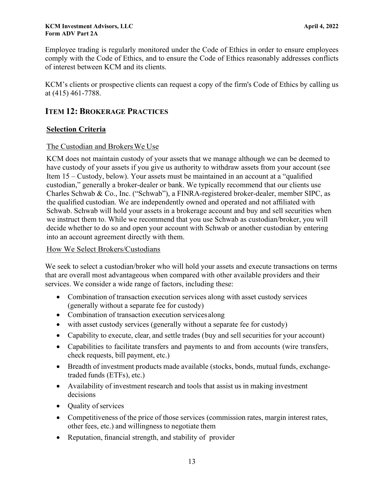Employee trading is regularly monitored under the Code of Ethics in order to ensure employees comply with the Code of Ethics, and to ensure the Code of Ethics reasonably addresses conflicts of interest between KCM and its clients.

KCM's clients or prospective clients can request a copy of the firm's Code of Ethics by calling us at (415) 461-7788.

# **ITEM 12: BROKERAGE PRACTICES**

## **Selection Criteria**

## The Custodian and Brokers We Use

KCM does not maintain custody of your assets that we manage although we can be deemed to have custody of your assets if you give us authority to withdraw assets from your account (see Item 15 – Custody, below). Your assets must be maintained in an account at a "qualified custodian," generally a broker-dealer or bank. We typically recommend that our clients use Charles Schwab & Co., Inc. ("Schwab"), a FINRA-registered broker-dealer, member SIPC, as the qualified custodian. We are independently owned and operated and not affiliated with Schwab. Schwab will hold your assets in a brokerage account and buy and sell securities when we instruct them to. While we recommend that you use Schwab as custodian/broker, you will decide whether to do so and open your account with Schwab or another custodian by entering into an account agreement directly with them.

## How We Select Brokers/Custodians

We seek to select a custodian/broker who will hold your assets and execute transactions on terms that are overall most advantageous when compared with other available providers and their services. We consider a wide range of factors, including these:

- Combination of transaction execution services along with asset custody services (generally without a separate fee for custody)
- Combination of transaction execution services along
- with asset custody services (generally without a separate fee for custody)
- Capability to execute, clear, and settle trades (buy and sell securities for your account)
- Capabilities to facilitate transfers and payments to and from accounts (wire transfers, check requests, bill payment, etc.)
- Breadth of investment products made available (stocks, bonds, mutual funds, exchangetraded funds (ETFs), etc.)
- Availability of investment research and tools that assist us in making investment decisions
- Quality of services
- Competitiveness of the price of those services (commission rates, margin interest rates, other fees, etc.) and willingness to negotiate them
- Reputation, financial strength, and stability of provider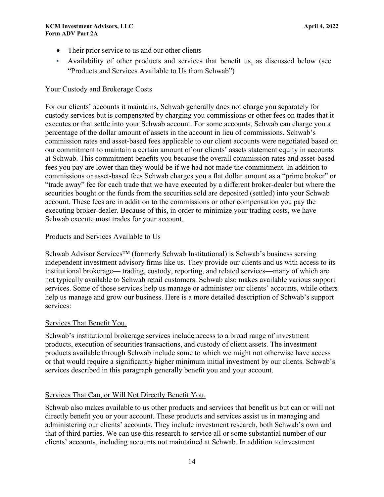- Their prior service to us and our other clients
- Availability of other products and services that benefit us, as discussed below (see "Products and Services Available to Us from Schwab")

## Your Custody and Brokerage Costs

For our clients' accounts it maintains, Schwab generally does not charge you separately for custody services but is compensated by charging you commissions or other fees on trades that it executes or that settle into your Schwab account. For some accounts, Schwab can charge you a percentage of the dollar amount of assets in the account in lieu of commissions. Schwab's commission rates and asset-based fees applicable to our client accounts were negotiated based on our commitment to maintain a certain amount of our clients' assets statement equity in accounts at Schwab. This commitment benefits you because the overall commission rates and asset-based fees you pay are lower than they would be if we had not made the commitment. In addition to commissions or asset-based fees Schwab charges you a flat dollar amount as a "prime broker" or "trade away" fee for each trade that we have executed by a different broker-dealer but where the securities bought or the funds from the securities sold are deposited (settled) into your Schwab account. These fees are in addition to the commissions or other compensation you pay the executing broker-dealer. Because of this, in order to minimize your trading costs, we have Schwab execute most trades for your account.

## Products and Services Available to Us

Schwab Advisor Services™ (formerly Schwab Institutional) is Schwab's business serving independent investment advisory firms like us. They provide our clients and us with access to its institutional brokerage— trading, custody, reporting, and related services—many of which are not typically available to Schwab retail customers. Schwab also makes available various support services. Some of those services help us manage or administer our clients' accounts, while others help us manage and grow our business. Here is a more detailed description of Schwab's support services:

## Services That Benefit You.

Schwab's institutional brokerage services include access to a broad range of investment products, execution of securities transactions, and custody of client assets. The investment products available through Schwab include some to which we might not otherwise have access or that would require a significantly higher minimum initial investment by our clients. Schwab's services described in this paragraph generally benefit you and your account.

# Services That Can, or Will Not Directly Benefit You.

Schwab also makes available to us other products and services that benefit us but can or will not directly benefit you or your account. These products and services assist us in managing and administering our clients' accounts. They include investment research, both Schwab's own and that of third parties. We can use this research to service all or some substantial number of our clients' accounts, including accounts not maintained at Schwab. In addition to investment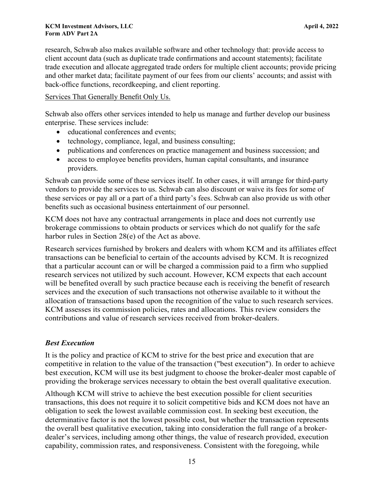research, Schwab also makes available software and other technology that: provide access to client account data (such as duplicate trade confirmations and account statements); facilitate trade execution and allocate aggregated trade orders for multiple client accounts; provide pricing and other market data; facilitate payment of our fees from our clients' accounts; and assist with back-office functions, recordkeeping, and client reporting.

## Services That Generally Benefit Only Us.

Schwab also offers other services intended to help us manage and further develop our business enterprise. These services include:

- educational conferences and events;
- technology, compliance, legal, and business consulting;
- publications and conferences on practice management and business succession; and
- access to employee benefits providers, human capital consultants, and insurance providers.

Schwab can provide some of these services itself. In other cases, it will arrange for third-party vendors to provide the services to us. Schwab can also discount or waive its fees for some of these services or pay all or a part of a third party's fees. Schwab can also provide us with other benefits such as occasional business entertainment of our personnel.

KCM does not have any contractual arrangements in place and does not currently use brokerage commissions to obtain products or services which do not qualify for the safe harbor rules in Section 28(e) of the Act as above.

Research services furnished by brokers and dealers with whom KCM and its affiliates effect transactions can be beneficial to certain of the accounts advised by KCM. It is recognized that a particular account can or will be charged a commission paid to a firm who supplied research services not utilized by such account. However, KCM expects that each account will be benefited overall by such practice because each is receiving the benefit of research services and the execution of such transactions not otherwise available to it without the allocation of transactions based upon the recognition of the value to such research services. KCM assesses its commission policies, rates and allocations. This review considers the contributions and value of research services received from broker-dealers.

## *Best Execution*

It is the policy and practice of KCM to strive for the best price and execution that are competitive in relation to the value of the transaction ("best execution"). In order to achieve best execution, KCM will use its best judgment to choose the broker-dealer most capable of providing the brokerage services necessary to obtain the best overall qualitative execution.

Although KCM will strive to achieve the best execution possible for client securities transactions, this does not require it to solicit competitive bids and KCM does not have an obligation to seek the lowest available commission cost. In seeking best execution, the determinative factor is not the lowest possible cost, but whether the transaction represents the overall best qualitative execution, taking into consideration the full range of a brokerdealer's services, including among other things, the value of research provided, execution capability, commission rates, and responsiveness. Consistent with the foregoing, while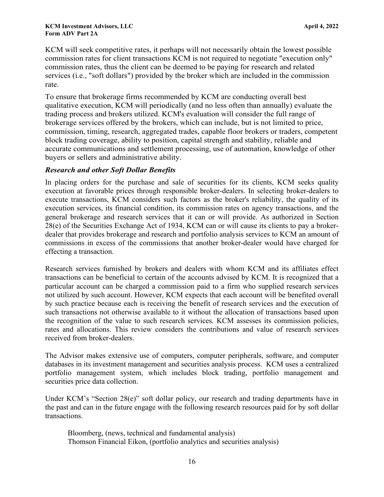KCM will seek competitive rates, it perhaps will not necessarily obtain the lowest possible commission rates for client transactions KCM is not required to negotiate "execution only" commission rates, thus the client can be deemed to be paying for research and related services (i.e., "soft dollars") provided by the broker which are included in the commission rate.

To ensure that brokerage firms recommended by KCM are conducting overall best qualitative execution, KCM will periodically (and no less often than annually) evaluate the trading process and brokers utilized. KCM's evaluation will consider the full range of brokerage services offered by the brokers, which can include, but is not limited to price, commission, timing, research, aggregated trades, capable floor brokers or traders, competent block trading coverage, ability to position, capital strength and stability, reliable and accurate communications and settlement processing, use of automation, knowledge of other buyers or sellers and administrative ability.

## *Research and other Soft Dollar Benefits*

In placing orders for the purchase and sale of securities for its clients, KCM seeks quality execution at favorable prices through responsible broker-dealers. In selecting broker-dealers to execute transactions, KCM considers such factors as the broker's reliability, the quality of its execution services, its financial condition, its commission rates on agency transactions, and the general brokerage and research services that it can or will provide. As authorized in Section 28(e) of the Securities Exchange Act of 1934, KCM can or will cause its clients to pay a brokerdealer that provides brokerage and research and portfolio analysis services to KCM an amount of commissions in excess of the commissions that another broker-dealer would have charged for effecting a transaction.

Research services furnished by brokers and dealers with whom KCM and its affiliates effect transactions can be beneficial to certain of the accounts advised by KCM. It is recognized that a particular account can be charged a commission paid to a firm who supplied research services not utilized by such account. However, KCM expects that each account will be benefited overall by such practice because each is receiving the benefit of research services and the execution of such transactions not otherwise available to it without the allocation of transactions based upon the recognition of the value to such research services. KCM assesses its commission policies, rates and allocations. This review considers the contributions and value of research services received from broker-dealers.

The Advisor makes extensive use of computers, computer peripherals, software, and computer databases in its investment management and securities analysis process. KCM uses a centralized portfolio management system, which includes block trading, portfolio management and securities price data collection.

Under KCM's "Section 28(e)" soft dollar policy, our research and trading departments have in the past and can in the future engage with the following research resources paid for by soft dollar transactions.

Bloomberg, (news, technical and fundamental analysis) Thomson Financial Eikon, (portfolio analytics and securities analysis)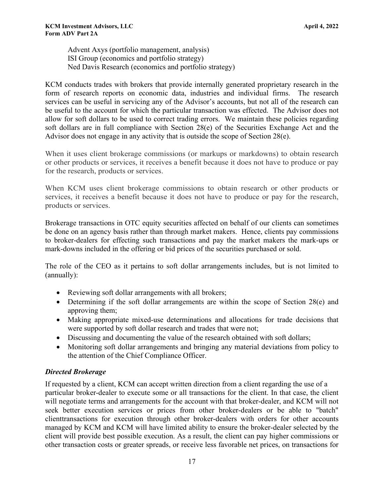Advent Axys (portfolio management, analysis) ISI Group (economics and portfolio strategy) Ned Davis Research (economics and portfolio strategy)

KCM conducts trades with brokers that provide internally generated proprietary research in the form of research reports on economic data, industries and individual firms. The research services can be useful in servicing any of the Advisor's accounts, but not all of the research can be useful to the account for which the particular transaction was effected. The Advisor does not allow for soft dollars to be used to correct trading errors. We maintain these policies regarding soft dollars are in full compliance with Section 28(e) of the Securities Exchange Act and the Advisor does not engage in any activity that is outside the scope of Section 28(e).

When it uses client brokerage commissions (or markups or markdowns) to obtain research or other products or services, it receives a benefit because it does not have to produce or pay for the research, products or services.

When KCM uses client brokerage commissions to obtain research or other products or services, it receives a benefit because it does not have to produce or pay for the research, products or services.

Brokerage transactions in OTC equity securities affected on behalf of our clients can sometimes be done on an agency basis rather than through market makers. Hence, clients pay commissions to broker-dealers for effecting such transactions and pay the market makers the mark-ups or mark-downs included in the offering or bid prices of the securities purchased or sold.

The role of the CEO as it pertains to soft dollar arrangements includes, but is not limited to (annually):

- Reviewing soft dollar arrangements with all brokers;
- Determining if the soft dollar arrangements are within the scope of Section 28(e) and approving them;
- Making appropriate mixed-use determinations and allocations for trade decisions that were supported by soft dollar research and trades that were not;
- Discussing and documenting the value of the research obtained with soft dollars;
- Monitoring soft dollar arrangements and bringing any material deviations from policy to the attention of the Chief Compliance Officer.

## *Directed Brokerage*

If requested by a client, KCM can accept written direction from a client regarding the use of a particular broker-dealer to execute some or all transactions for the client. In that case, the client will negotiate terms and arrangements for the account with that broker-dealer, and KCM will not seek better execution services or prices from other broker-dealers or be able to "batch" clienttransactions for execution through other broker-dealers with orders for other accounts managed by KCM and KCM will have limited ability to ensure the broker-dealer selected by the client will provide best possible execution. As a result, the client can pay higher commissions or other transaction costs or greater spreads, or receive less favorable net prices, on transactions for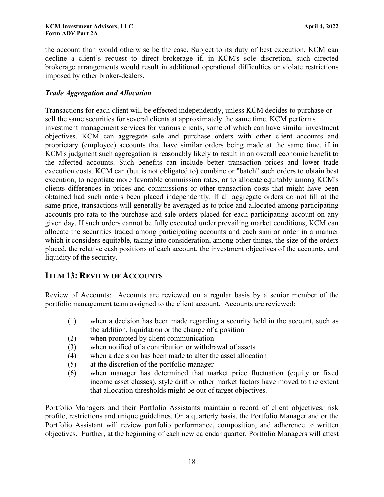the account than would otherwise be the case. Subject to its duty of best execution, KCM can decline a client's request to direct brokerage if, in KCM's sole discretion, such directed brokerage arrangements would result in additional operational difficulties or violate restrictions imposed by other broker-dealers.

## *Trade Aggregation and Allocation*

Transactions for each client will be effected independently, unless KCM decides to purchase or sell the same securities for several clients at approximately the same time. KCM performs investment management services for various clients, some of which can have similar investment objectives. KCM can aggregate sale and purchase orders with other client accounts and proprietary (employee) accounts that have similar orders being made at the same time, if in KCM's judgment such aggregation is reasonably likely to result in an overall economic benefit to the affected accounts. Such benefits can include better transaction prices and lower trade execution costs. KCM can (but is not obligated to) combine or "batch" such orders to obtain best execution, to negotiate more favorable commission rates, or to allocate equitably among KCM's clients differences in prices and commissions or other transaction costs that might have been obtained had such orders been placed independently. If all aggregate orders do not fill at the same price, transactions will generally be averaged as to price and allocated among participating accounts pro rata to the purchase and sale orders placed for each participating account on any given day. If such orders cannot be fully executed under prevailing market conditions, KCM can allocate the securities traded among participating accounts and each similar order in a manner which it considers equitable, taking into consideration, among other things, the size of the orders placed, the relative cash positions of each account, the investment objectives of the accounts, and liquidity of the security.

# <span id="page-17-0"></span>**ITEM 13: REVIEW OF ACCOUNTS**

Review of Accounts: Accounts are reviewed on a regular basis by a senior member of the portfolio management team assigned to the client account. Accounts are reviewed:

- (1) when a decision has been made regarding a security held in the account, such as the addition, liquidation or the change of a position
- (2) when prompted by client communication
- (3) when notified of a contribution or withdrawal of assets
- (4) when a decision has been made to alter the asset allocation
- (5) at the discretion of the portfolio manager
- (6) when manager has determined that market price fluctuation (equity or fixed income asset classes), style drift or other market factors have moved to the extent that allocation thresholds might be out of target objectives.

Portfolio Managers and their Portfolio Assistants maintain a record of client objectives, risk profile, restrictions and unique guidelines. On a quarterly basis, the Portfolio Manager and or the Portfolio Assistant will review portfolio performance, composition, and adherence to written objectives. Further, at the beginning of each new calendar quarter, Portfolio Managers will attest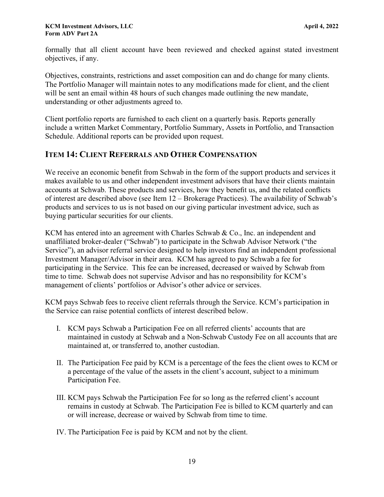formally that all client account have been reviewed and checked against stated investment objectives, if any.

Objectives, constraints, restrictions and asset composition can and do change for many clients. The Portfolio Manager will maintain notes to any modifications made for client, and the client will be sent an email within 48 hours of such changes made outlining the new mandate, understanding or other adjustments agreed to.

Client portfolio reports are furnished to each client on a quarterly basis. Reports generally include a written Market Commentary, Portfolio Summary, Assets in Portfolio, and Transaction Schedule. Additional reports can be provided upon request.

# <span id="page-18-0"></span>**ITEM 14: CLIENT REFERRALS AND OTHER COMPENSATION**

We receive an economic benefit from Schwab in the form of the support products and services it makes available to us and other independent investment advisors that have their clients maintain accounts at Schwab. These products and services, how they benefit us, and the related conflicts of interest are described above (see Item 12 – Brokerage Practices). The availability of Schwab's products and services to us is not based on our giving particular investment advice, such as buying particular securities for our clients.

KCM has entered into an agreement with Charles Schwab & Co., Inc. an independent and unaffiliated broker-dealer ("Schwab") to participate in the Schwab Advisor Network ("the Service"), an advisor referral service designed to help investors find an independent professional Investment Manager/Advisor in their area. KCM has agreed to pay Schwab a fee for participating in the Service. This fee can be increased, decreased or waived by Schwab from time to time. Schwab does not supervise Advisor and has no responsibility for KCM's management of clients' portfolios or Advisor's other advice or services.

KCM pays Schwab fees to receive client referrals through the Service. KCM's participation in the Service can raise potential conflicts of interest described below.

- I. KCM pays Schwab a Participation Fee on all referred clients' accounts that are maintained in custody at Schwab and a Non-Schwab Custody Fee on all accounts that are maintained at, or transferred to, another custodian.
- II. The Participation Fee paid by KCM is a percentage of the fees the client owes to KCM or a percentage of the value of the assets in the client's account, subject to a minimum Participation Fee.
- III. KCM pays Schwab the Participation Fee for so long as the referred client's account remains in custody at Schwab. The Participation Fee is billed to KCM quarterly and can or will increase, decrease or waived by Schwab from time to time.

IV. The Participation Fee is paid by KCM and not by the client.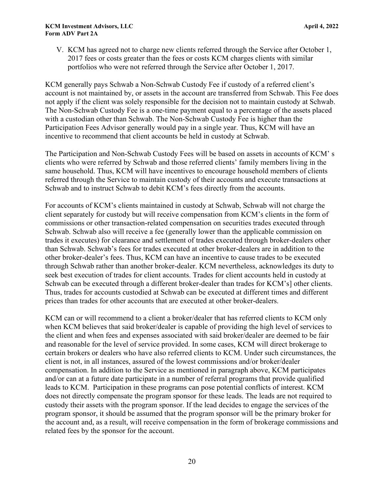V. KCM has agreed not to charge new clients referred through the Service after October 1, 2017 fees or costs greater than the fees or costs KCM charges clients with similar portfolios who were not referred through the Service after October 1, 2017.

KCM generally pays Schwab a Non-Schwab Custody Fee if custody of a referred client's account is not maintained by, or assets in the account are transferred from Schwab. This Fee does not apply if the client was solely responsible for the decision not to maintain custody at Schwab. The Non-Schwab Custody Fee is a one-time payment equal to a percentage of the assets placed with a custodian other than Schwab. The Non-Schwab Custody Fee is higher than the Participation Fees Advisor generally would pay in a single year. Thus, KCM will have an incentive to recommend that client accounts be held in custody at Schwab.

The Participation and Non-Schwab Custody Fees will be based on assets in accounts of KCM' s clients who were referred by Schwab and those referred clients' family members living in the same household. Thus, KCM will have incentives to encourage household members of clients referred through the Service to maintain custody of their accounts and execute transactions at Schwab and to instruct Schwab to debit KCM's fees directly from the accounts.

For accounts of KCM's clients maintained in custody at Schwab, Schwab will not charge the client separately for custody but will receive compensation from KCM's clients in the form of commissions or other transaction-related compensation on securities trades executed through Schwab. Schwab also will receive a fee (generally lower than the applicable commission on trades it executes) for clearance and settlement of trades executed through broker-dealers other than Schwab. Schwab's fees for trades executed at other broker-dealers are in addition to the other broker-dealer's fees. Thus, KCM can have an incentive to cause trades to be executed through Schwab rather than another broker-dealer. KCM nevertheless, acknowledges its duty to seek best execution of trades for client accounts. Trades for client accounts held in custody at Schwab can be executed through a different broker-dealer than trades for KCM's] other clients. Thus, trades for accounts custodied at Schwab can be executed at different times and different prices than trades for other accounts that are executed at other broker-dealers.

KCM can or will recommend to a client a broker/dealer that has referred clients to KCM only when KCM believes that said broker/dealer is capable of providing the high level of services to the client and when fees and expenses associated with said broker/dealer are deemed to be fair and reasonable for the level of service provided. In some cases, KCM will direct brokerage to certain brokers or dealers who have also referred clients to KCM. Under such circumstances, the client is not, in all instances, assured of the lowest commissions and/or broker/dealer compensation. In addition to the Service as mentioned in paragraph above, KCM participates and/or can at a future date participate in a number of referral programs that provide qualified leads to KCM. Participation in these programs can pose potential conflicts of interest. KCM does not directly compensate the program sponsor for these leads. The leads are not required to custody their assets with the program sponsor. If the lead decides to engage the services of the program sponsor, it should be assumed that the program sponsor will be the primary broker for the account and, as a result, will receive compensation in the form of brokerage commissions and related fees by the sponsor for the account.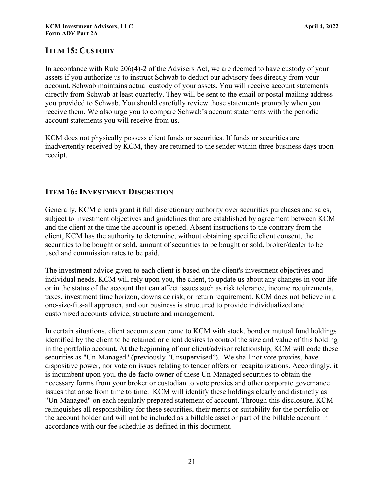# <span id="page-20-0"></span>**ITEM 15: CUSTODY**

In accordance with Rule 206(4)-2 of the Advisers Act, we are deemed to have custody of your assets if you authorize us to instruct Schwab to deduct our advisory fees directly from your account. Schwab maintains actual custody of your assets. You will receive account statements directly from Schwab at least quarterly. They will be sent to the email or postal mailing address you provided to Schwab. You should carefully review those statements promptly when you receive them. We also urge you to compare Schwab's account statements with the periodic account statements you will receive from us.

KCM does not physically possess client funds or securities. If funds or securities are inadvertently received by KCM, they are returned to the sender within three business days upon receipt.

## <span id="page-20-1"></span>**ITEM 16: INVESTMENT DISCRETION**

Generally, KCM clients grant it full discretionary authority over securities purchases and sales, subject to investment objectives and guidelines that are established by agreement between KCM and the client at the time the account is opened. Absent instructions to the contrary from the client, KCM has the authority to determine, without obtaining specific client consent, the securities to be bought or sold, amount of securities to be bought or sold, broker/dealer to be used and commission rates to be paid.

The investment advice given to each client is based on the client's investment objectives and individual needs. KCM will rely upon you, the client, to update us about any changes in your life or in the status of the account that can affect issues such as risk tolerance, income requirements, taxes, investment time horizon, downside risk, or return requirement. KCM does not believe in a one-size-fits-all approach, and our business is structured to provide individualized and customized accounts advice, structure and management.

In certain situations, client accounts can come to KCM with stock, bond or mutual fund holdings identified by the client to be retained or client desires to control the size and value of this holding in the portfolio account. At the beginning of our client/advisor relationship, KCM will code these securities as "Un-Managed" (previously "Unsupervised"). We shall not vote proxies, have dispositive power, nor vote on issues relating to tender offers or recapitalizations. Accordingly, it is incumbent upon you, the de-facto owner of these Un-Managed securities to obtain the necessary forms from your broker or custodian to vote proxies and other corporate governance issues that arise from time to time. KCM will identify these holdings clearly and distinctly as "Un-Managed" on each regularly prepared statement of account. Through this disclosure, KCM relinquishes all responsibility for these securities, their merits or suitability for the portfolio or the account holder and will not be included as a billable asset or part of the billable account in accordance with our fee schedule as defined in this document.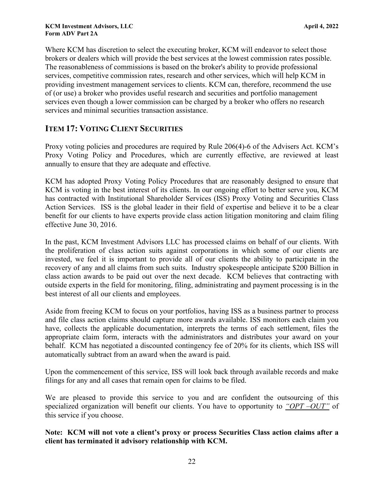Where KCM has discretion to select the executing broker, KCM will endeavor to select those brokers or dealers which will provide the best services at the lowest commission rates possible. The reasonableness of commissions is based on the broker's ability to provide professional services, competitive commission rates, research and other services, which will help KCM in providing investment management services to clients. KCM can, therefore, recommend the use of (or use) a broker who provides useful research and securities and portfolio management services even though a lower commission can be charged by a broker who offers no research services and minimal securities transaction assistance.

# <span id="page-21-0"></span>**ITEM 17: VOTING CLIENT SECURITIES**

Proxy voting policies and procedures are required by Rule 206(4)-6 of the Advisers Act. KCM's Proxy Voting Policy and Procedures, which are currently effective, are reviewed at least annually to ensure that they are adequate and effective.

KCM has adopted Proxy Voting Policy Procedures that are reasonably designed to ensure that KCM is voting in the best interest of its clients. In our ongoing effort to better serve you, KCM has contracted with Institutional Shareholder Services (ISS) Proxy Voting and Securities Class Action Services. ISS is the global leader in their field of expertise and believe it to be a clear benefit for our clients to have experts provide class action litigation monitoring and claim filing effective June 30, 2016.

In the past, KCM Investment Advisors LLC has processed claims on behalf of our clients. With the proliferation of class action suits against corporations in which some of our clients are invested, we feel it is important to provide all of our clients the ability to participate in the recovery of any and all claims from such suits. Industry spokespeople anticipate \$200 Billion in class action awards to be paid out over the next decade. KCM believes that contracting with outside experts in the field for monitoring, filing, administrating and payment processing is in the best interest of all our clients and employees.

Aside from freeing KCM to focus on your portfolios, having ISS as a business partner to process and file class action claims should capture more awards available. ISS monitors each claim you have, collects the applicable documentation, interprets the terms of each settlement, files the appropriate claim form, interacts with the administrators and distributes your award on your behalf. KCM has negotiated a discounted contingency fee of 20% for its clients, which ISS will automatically subtract from an award when the award is paid.

Upon the commencement of this service, ISS will look back through available records and make filings for any and all cases that remain open for claims to be filed.

We are pleased to provide this service to you and are confident the outsourcing of this specialized organization will benefit our clients. You have to opportunity to *"OPT –OUT"* of this service if you choose.

**Note: KCM will not vote a client's proxy or process Securities Class action claims after a client has terminated it advisory relationship with KCM.**